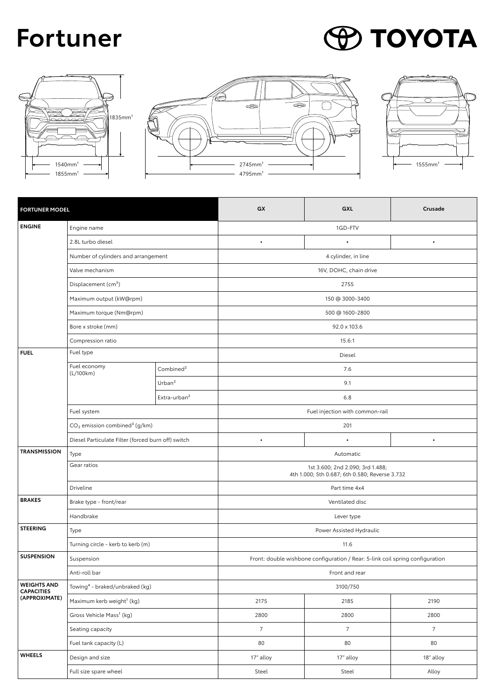## **Fortuner**

## **POYOTA**







| <b>FORTUNER MODEL</b>                                    |                                                       | GX                       | GXL                                                                                | Crusade     |             |
|----------------------------------------------------------|-------------------------------------------------------|--------------------------|------------------------------------------------------------------------------------|-------------|-------------|
| <b>ENGINE</b>                                            | Engine name                                           |                          | 1GD-FTV                                                                            |             |             |
|                                                          | 2.8L turbo diesel                                     |                          | $\bullet$                                                                          | $\bullet$   | $\bullet$   |
|                                                          | Number of cylinders and arrangement                   |                          | 4 cylinder, in line                                                                |             |             |
|                                                          | Valve mechanism                                       |                          | 16V, DOHC, chain drive                                                             |             |             |
|                                                          | Displacement (cm <sup>3</sup> )                       |                          | 2755                                                                               |             |             |
|                                                          | Maximum output (kW@rpm)                               |                          | 150 @ 3000-3400                                                                    |             |             |
|                                                          | Maximum torque (Nm@rpm)                               |                          | 500 @ 1600-2800                                                                    |             |             |
|                                                          | Bore x stroke (mm)                                    |                          | 92.0 x 103.6                                                                       |             |             |
|                                                          | Compression ratio                                     |                          | 15.6:1                                                                             |             |             |
| <b>FUEL</b>                                              | Fuel type                                             |                          | Diesel                                                                             |             |             |
|                                                          | Fuel economy<br>(L/100km)                             | Combined $2$             | 7.6                                                                                |             |             |
|                                                          |                                                       | Urban <sup>2</sup>       | 9.1                                                                                |             |             |
|                                                          |                                                       | Extra-urban <sup>2</sup> | 6.8                                                                                |             |             |
|                                                          | Fuel system                                           |                          | Fuel injection with common-rail                                                    |             |             |
|                                                          | CO <sub>2</sub> emission combined <sup>3</sup> (g/km) |                          | 201                                                                                |             |             |
|                                                          | Diesel Particulate Filter (forced burn off) switch    |                          | $\bullet$                                                                          | $\bullet$   | $\bullet$   |
| <b>TRANSMISSION</b>                                      | Type                                                  |                          | Automatic                                                                          |             |             |
|                                                          | Gear ratios                                           |                          | 1st 3.600; 2nd 2.090; 3rd 1.488;<br>4th 1.000; 5th 0.687; 6th 0.580; Reverse 3.732 |             |             |
|                                                          | Driveline                                             |                          | Part time 4x4                                                                      |             |             |
| <b>BRAKES</b>                                            | Brake type - front/rear                               |                          | Ventilated disc                                                                    |             |             |
|                                                          | Handbrake                                             |                          | Lever type                                                                         |             |             |
| <b>STEERING</b>                                          | Type                                                  |                          | Power Assisted Hydraulic                                                           |             |             |
|                                                          | Turning circle - kerb to kerb (m)                     |                          | 11.6                                                                               |             |             |
| <b>SUSPENSION</b>                                        | Suspension                                            |                          | Front: double wishbone configuration / Rear: 5-link coil spring configuration      |             |             |
|                                                          | Anti-roll bar                                         |                          | Front and rear                                                                     |             |             |
| <b>WEIGHTS AND</b><br><b>CAPACITIES</b><br>(APPROXIMATE) | Towing <sup>4</sup> - braked/unbraked (kg)            |                          | 3100/750                                                                           |             |             |
|                                                          | Maximum kerb weight <sup>1</sup> (kg)                 |                          | 2175                                                                               | 2185        | 2190        |
|                                                          | Gross Vehicle Mass <sup>1</sup> (kg)                  |                          | 2800                                                                               | 2800        | 2800        |
|                                                          | Seating capacity                                      |                          | $7^{\circ}$                                                                        | $7^{\circ}$ | $7^{\circ}$ |
|                                                          | Fuel tank capacity (L)                                |                          | 80                                                                                 | 80          | 80          |
| <b>WHEELS</b>                                            | Design and size                                       |                          | 17" alloy                                                                          | 17" alloy   | 18" alloy   |
|                                                          | Full size spare wheel                                 |                          | Steel                                                                              | Steel       | Alloy       |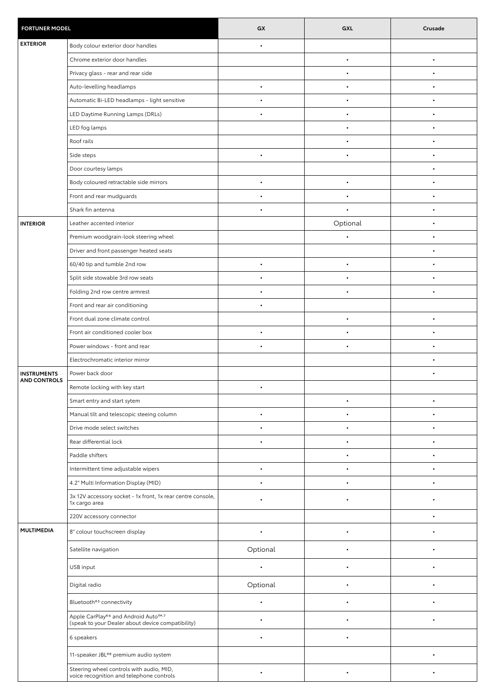| <b>FORTUNER MODEL</b> |                                                                                                                  | GX        | GXL       | Crusade   |
|-----------------------|------------------------------------------------------------------------------------------------------------------|-----------|-----------|-----------|
| <b>EXTERIOR</b>       | Body colour exterior door handles                                                                                | $\bullet$ |           |           |
|                       | Chrome exterior door handles                                                                                     |           | $\bullet$ | $\bullet$ |
|                       | Privacy glass - rear and rear side                                                                               |           | $\bullet$ | $\bullet$ |
|                       | Auto-levelling headlamps                                                                                         | $\bullet$ | $\bullet$ |           |
|                       | Automatic Bi-LED headlamps - light sensitive                                                                     |           |           |           |
|                       | LED Daytime Running Lamps (DRLs)                                                                                 | $\bullet$ | $\bullet$ | $\bullet$ |
|                       | LED fog lamps                                                                                                    |           | $\bullet$ |           |
|                       | Roof rails                                                                                                       |           | $\bullet$ |           |
|                       | Side steps                                                                                                       |           |           |           |
|                       | Door courtesy lamps                                                                                              |           |           | ٠         |
|                       | Body coloured retractable side mirrors                                                                           | $\bullet$ | $\bullet$ | $\bullet$ |
|                       | Front and rear mudguards                                                                                         |           |           |           |
|                       | Shark fin antenna                                                                                                |           |           |           |
| <b>INTERIOR</b>       | Leather accented interior                                                                                        |           | Optional  | $\bullet$ |
|                       | Premium woodgrain-look steering wheel                                                                            |           |           |           |
|                       | Driver and front passenger heated seats                                                                          |           |           |           |
|                       | 60/40 tip and tumble 2nd row                                                                                     | $\bullet$ | $\bullet$ |           |
|                       | Split side stowable 3rd row seats                                                                                | $\bullet$ | $\bullet$ | $\bullet$ |
|                       | Folding 2nd row centre armrest                                                                                   | $\bullet$ | $\bullet$ | $\bullet$ |
|                       | Front and rear air conditioning                                                                                  | $\bullet$ |           |           |
|                       | Front dual zone climate control                                                                                  |           | $\bullet$ | $\bullet$ |
|                       | Front air conditioned cooler box                                                                                 | $\bullet$ | $\bullet$ | $\bullet$ |
|                       | Power windows - front and rear                                                                                   | $\bullet$ | $\bullet$ |           |
|                       | Electrochromatic interior mirror                                                                                 |           |           |           |
| <b>INSTRUMENTS</b>    | Power back door                                                                                                  |           |           | $\bullet$ |
| <b>AND CONTROLS</b>   | Remote locking with key start                                                                                    | $\bullet$ |           |           |
|                       | Smart entry and start sytem                                                                                      |           | $\bullet$ |           |
|                       | Manual tilt and telescopic steeing column                                                                        |           |           |           |
|                       | Drive mode select switches                                                                                       |           |           |           |
|                       | Rear differential lock                                                                                           | $\bullet$ | $\bullet$ | ٠         |
|                       | Paddle shifters                                                                                                  |           | $\bullet$ | $\bullet$ |
|                       | Intermittent time adjustable wipers                                                                              | $\bullet$ | $\bullet$ | $\bullet$ |
|                       | 4.2" Multi Information Display (MID)                                                                             | $\bullet$ | $\bullet$ | ٠         |
|                       | 3x 12V accessory socket - 1x front, 1x rear centre console,<br>1x cargo area                                     |           |           |           |
|                       | 220V accessory connector                                                                                         |           |           | $\bullet$ |
| <b>MULTIMEDIA</b>     | 8" colour touchscreen display                                                                                    | $\bullet$ | $\bullet$ |           |
|                       | Satellite navigation                                                                                             | Optional  |           |           |
|                       | USB input                                                                                                        | $\bullet$ | $\bullet$ |           |
|                       | Digital radio                                                                                                    | Optional  | $\bullet$ | $\bullet$ |
|                       | Bluetooth® <sup>5</sup> connectivity                                                                             | $\bullet$ | $\bullet$ |           |
|                       | Apple CarPlay® <sup>6</sup> and Android Auto <sup>™,7</sup><br>(speak to your Dealer about device compatibility) |           |           |           |
|                       | 6 speakers                                                                                                       |           |           |           |
|                       | 11-speaker JBL®8 premium audio system                                                                            |           |           | $\bullet$ |
|                       | Steering wheel controls with audio, MID,<br>voice recognition and telephone controls                             | $\bullet$ | $\bullet$ | $\bullet$ |